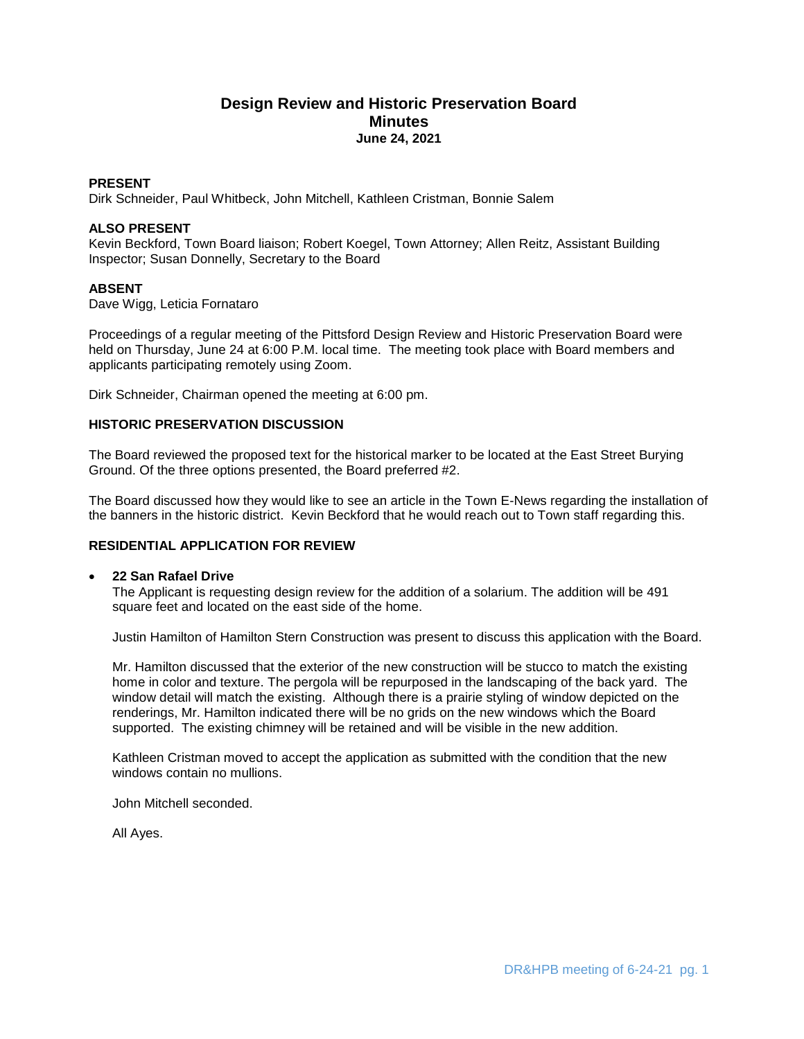# **Design Review and Historic Preservation Board Minutes June 24, 2021**

## **PRESENT**

Dirk Schneider, Paul Whitbeck, John Mitchell, Kathleen Cristman, Bonnie Salem

## **ALSO PRESENT**

Kevin Beckford, Town Board liaison; Robert Koegel, Town Attorney; Allen Reitz, Assistant Building Inspector; Susan Donnelly, Secretary to the Board

## **ABSENT**

Dave Wigg, Leticia Fornataro

Proceedings of a regular meeting of the Pittsford Design Review and Historic Preservation Board were held on Thursday, June 24 at 6:00 P.M. local time. The meeting took place with Board members and applicants participating remotely using Zoom.

Dirk Schneider, Chairman opened the meeting at 6:00 pm.

#### **HISTORIC PRESERVATION DISCUSSION**

The Board reviewed the proposed text for the historical marker to be located at the East Street Burying Ground. Of the three options presented, the Board preferred #2.

The Board discussed how they would like to see an article in the Town E-News regarding the installation of the banners in the historic district. Kevin Beckford that he would reach out to Town staff regarding this.

## **RESIDENTIAL APPLICATION FOR REVIEW**

#### **22 San Rafael Drive**

The Applicant is requesting design review for the addition of a solarium. The addition will be 491 square feet and located on the east side of the home.

Justin Hamilton of Hamilton Stern Construction was present to discuss this application with the Board.

Mr. Hamilton discussed that the exterior of the new construction will be stucco to match the existing home in color and texture. The pergola will be repurposed in the landscaping of the back yard. The window detail will match the existing. Although there is a prairie styling of window depicted on the renderings, Mr. Hamilton indicated there will be no grids on the new windows which the Board supported. The existing chimney will be retained and will be visible in the new addition.

Kathleen Cristman moved to accept the application as submitted with the condition that the new windows contain no mullions.

John Mitchell seconded.

All Ayes.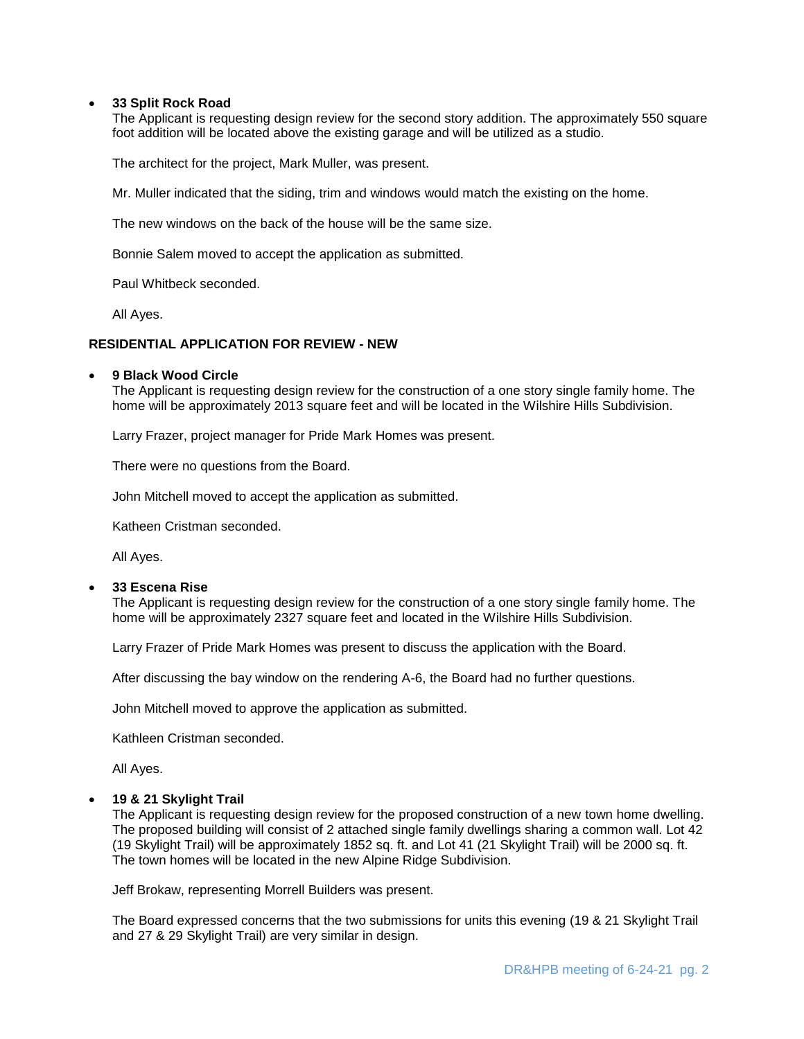#### **33 Split Rock Road**

The Applicant is requesting design review for the second story addition. The approximately 550 square foot addition will be located above the existing garage and will be utilized as a studio.

The architect for the project, Mark Muller, was present.

Mr. Muller indicated that the siding, trim and windows would match the existing on the home.

The new windows on the back of the house will be the same size.

Bonnie Salem moved to accept the application as submitted.

Paul Whitbeck seconded.

All Ayes.

#### **RESIDENTIAL APPLICATION FOR REVIEW - NEW**

#### **9 Black Wood Circle**

The Applicant is requesting design review for the construction of a one story single family home. The home will be approximately 2013 square feet and will be located in the Wilshire Hills Subdivision.

Larry Frazer, project manager for Pride Mark Homes was present.

There were no questions from the Board.

John Mitchell moved to accept the application as submitted.

Katheen Cristman seconded.

All Ayes.

#### **33 Escena Rise**

The Applicant is requesting design review for the construction of a one story single family home. The home will be approximately 2327 square feet and located in the Wilshire Hills Subdivision.

Larry Frazer of Pride Mark Homes was present to discuss the application with the Board.

After discussing the bay window on the rendering A-6, the Board had no further questions.

John Mitchell moved to approve the application as submitted.

Kathleen Cristman seconded.

All Ayes.

#### **19 & 21 Skylight Trail**

The Applicant is requesting design review for the proposed construction of a new town home dwelling. The proposed building will consist of 2 attached single family dwellings sharing a common wall. Lot 42 (19 Skylight Trail) will be approximately 1852 sq. ft. and Lot 41 (21 Skylight Trail) will be 2000 sq. ft. The town homes will be located in the new Alpine Ridge Subdivision.

Jeff Brokaw, representing Morrell Builders was present.

The Board expressed concerns that the two submissions for units this evening (19 & 21 Skylight Trail and 27 & 29 Skylight Trail) are very similar in design.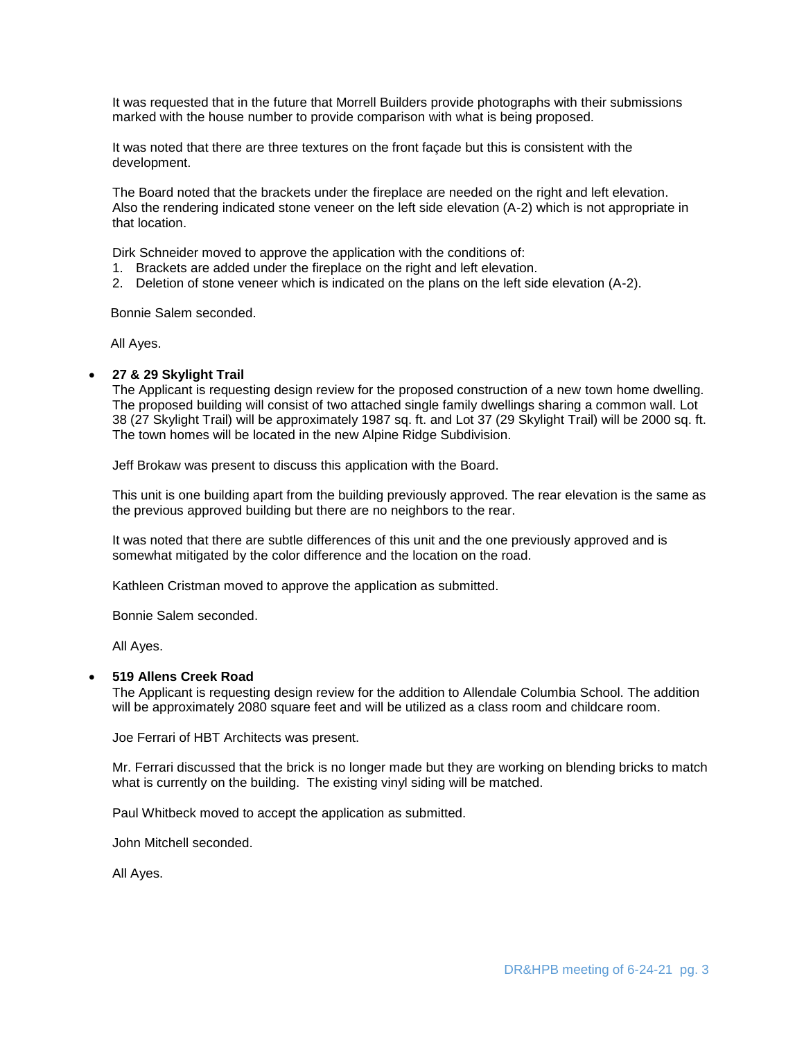It was requested that in the future that Morrell Builders provide photographs with their submissions marked with the house number to provide comparison with what is being proposed.

It was noted that there are three textures on the front façade but this is consistent with the development.

The Board noted that the brackets under the fireplace are needed on the right and left elevation. Also the rendering indicated stone veneer on the left side elevation (A-2) which is not appropriate in that location.

Dirk Schneider moved to approve the application with the conditions of:

- 1. Brackets are added under the fireplace on the right and left elevation.
- 2. Deletion of stone veneer which is indicated on the plans on the left side elevation (A-2).

Bonnie Salem seconded.

All Ayes.

#### **27 & 29 Skylight Trail**

The Applicant is requesting design review for the proposed construction of a new town home dwelling. The proposed building will consist of two attached single family dwellings sharing a common wall. Lot 38 (27 Skylight Trail) will be approximately 1987 sq. ft. and Lot 37 (29 Skylight Trail) will be 2000 sq. ft. The town homes will be located in the new Alpine Ridge Subdivision.

Jeff Brokaw was present to discuss this application with the Board.

This unit is one building apart from the building previously approved. The rear elevation is the same as the previous approved building but there are no neighbors to the rear.

It was noted that there are subtle differences of this unit and the one previously approved and is somewhat mitigated by the color difference and the location on the road.

Kathleen Cristman moved to approve the application as submitted.

Bonnie Salem seconded.

All Ayes.

#### **519 Allens Creek Road**

The Applicant is requesting design review for the addition to Allendale Columbia School. The addition will be approximately 2080 square feet and will be utilized as a class room and childcare room.

Joe Ferrari of HBT Architects was present.

Mr. Ferrari discussed that the brick is no longer made but they are working on blending bricks to match what is currently on the building. The existing vinyl siding will be matched.

Paul Whitbeck moved to accept the application as submitted.

John Mitchell seconded.

All Ayes.